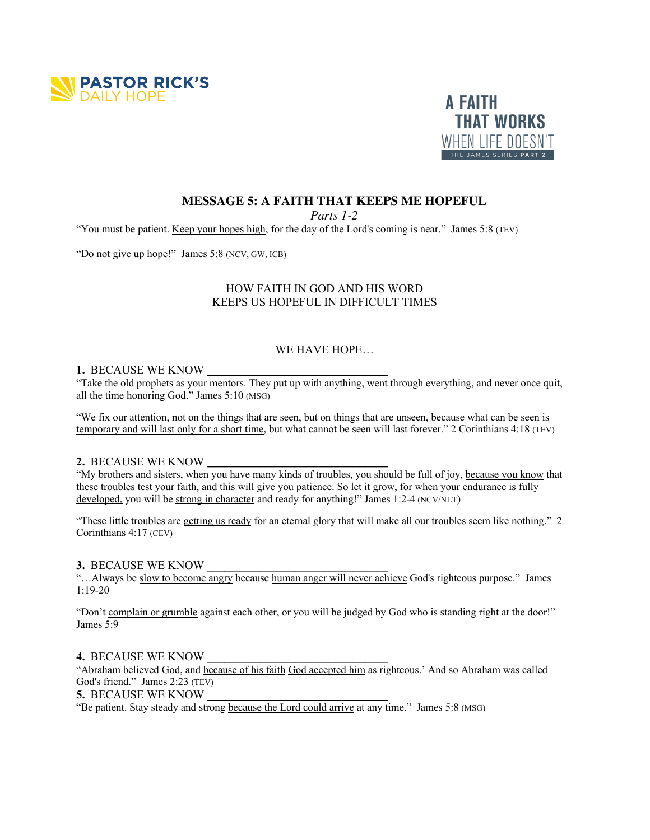



# **MESSAGE 5: A FAITH THAT KEEPS ME HOPEFUL**

*Parts 1-2*

"You must be patient. Keep your hopes high, for the day of the Lord's coming is near." James 5:8 (TEV)

"Do not give up hope!" James 5:8 (NCV, GW, ICB)

## HOW FAITH IN GOD AND HIS WORD KEEPS US HOPEFUL IN DIFFICULT TIMES

## WE HAVE HOPE…

### 1. BECAUSE WE KNOW

"Take the old prophets as your mentors. They put up with anything, went through everything, and never once quit, all the time honoring God." James 5:10 (MSG)

"We fix our attention, not on the things that are seen, but on things that are unseen, because what can be seen is temporary and will last only for a short time, but what cannot be seen will last forever." 2 Corinthians 4:18 (TEV)

#### **2.** BECAUSE WE KNOW

"My brothers and sisters, when you have many kinds of troubles, you should be full of joy, because you know that these troubles test your faith, and this will give you patience. So let it grow, for when your endurance is fully developed, you will be strong in character and ready for anything!" James 1:2-4 (NCV/NLT)

"These little troubles are getting us ready for an eternal glory that will make all our troubles seem like nothing." 2 Corinthians 4:17 (CEV)

## **3.** BECAUSE WE KNOW \_\_\_\_\_\_\_\_\_\_\_\_\_\_\_\_\_\_\_\_\_\_\_\_\_\_\_\_\_\_\_

"…Always be slow to become angry because human anger will never achieve God's righteous purpose." James 1:19-20

"Don't complain or grumble against each other, or you will be judged by God who is standing right at the door!" James 5:9

#### **4. BECAUSE WE KNOW**

"Abraham believed God, and because of his faith God accepted him as righteous.' And so Abraham was called God's friend." James 2:23 (TEV)

5. BECAUSE WE KNOW

"Be patient. Stay steady and strong because the Lord could arrive at any time." James 5:8 (MSG)